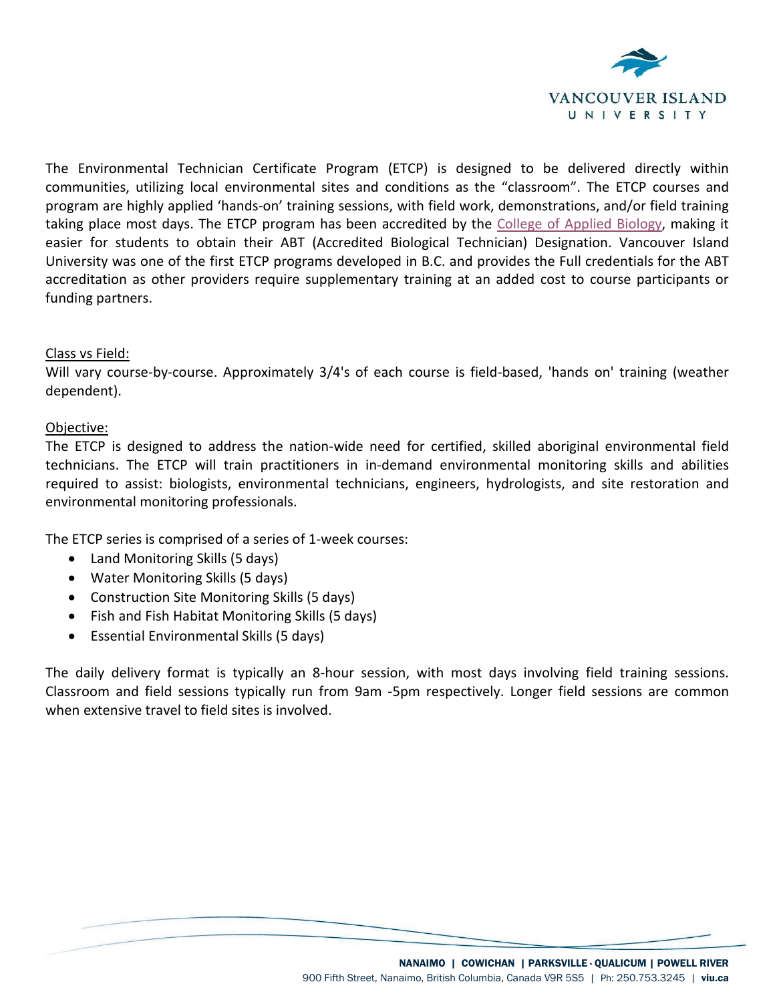

The Environmental Technician Certificate Program (ETCP) is designed to be delivered directly within communities, utilizing local environmental sites and conditions as the "classroom". The ETCP courses and program are highly applied 'hands-on' training sessions, with field work, demonstrations, and/or field training taking place most days. The ETCP program has been accredited by the [College of Applied Biology,](https://www.cab-bc.org/accredited-post-secondary-programs-abt) making it easier for students to obtain their ABT (Accredited Biological Technician) Designation. Vancouver Island University was one of the first ETCP programs developed in B.C. and provides the Full credentials for the ABT accreditation as other providers require supplementary training at an added cost to course participants or funding partners.

# Class vs Field:

Will vary course-by-course. Approximately 3/4's of each course is field-based, 'hands on' training (weather dependent).

# Objective:

The ETCP is designed to address the nation-wide need for certified, skilled aboriginal environmental field technicians. The ETCP will train practitioners in in-demand environmental monitoring skills and abilities required to assist: biologists, environmental technicians, engineers, hydrologists, and site restoration and environmental monitoring professionals.

The ETCP series is comprised of a series of 1-week courses:

- Land Monitoring Skills (5 days)
- Water Monitoring Skills (5 days)
- Construction Site Monitoring Skills (5 days)
- Fish and Fish Habitat Monitoring Skills (5 days)
- Essential Environmental Skills (5 days)

The daily delivery format is typically an 8-hour session, with most days involving field training sessions. Classroom and field sessions typically run from 9am -5pm respectively. Longer field sessions are common when extensive travel to field sites is involved.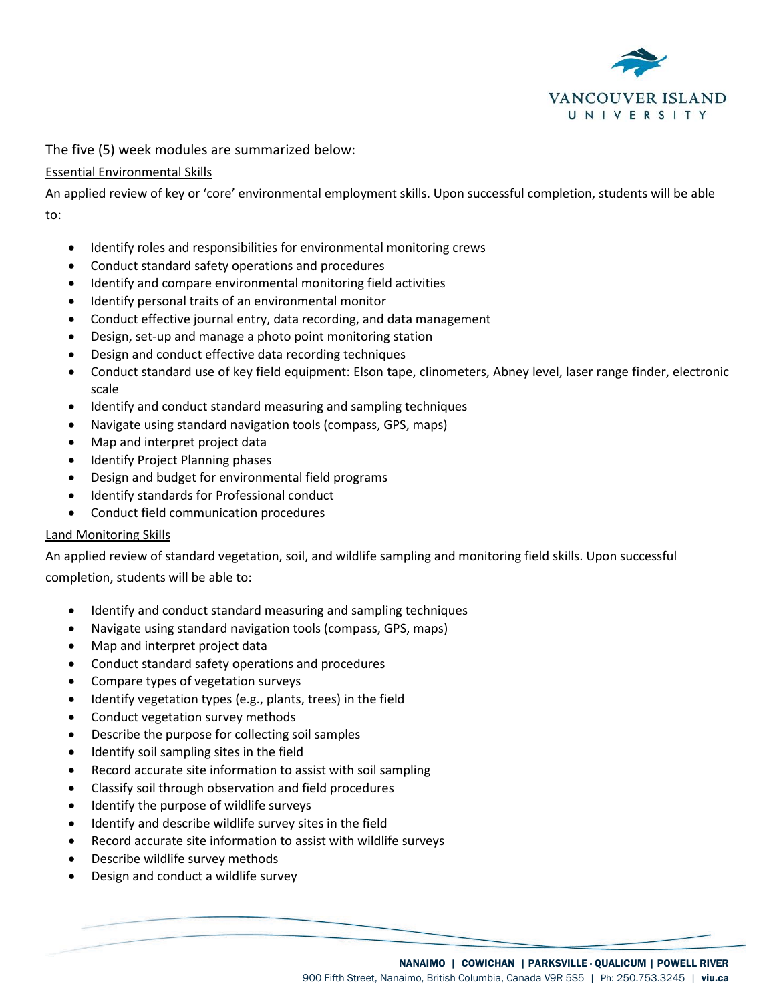

The five (5) week modules are summarized below:

## Essential Environmental Skills

An applied review of key or 'core' environmental employment skills. Upon successful completion, students will be able to:

- Identify roles and responsibilities for environmental monitoring crews
- Conduct standard safety operations and procedures
- Identify and compare environmental monitoring field activities
- Identify personal traits of an environmental monitor
- Conduct effective journal entry, data recording, and data management
- Design, set-up and manage a photo point monitoring station
- Design and conduct effective data recording techniques
- Conduct standard use of key field equipment: Elson tape, clinometers, Abney level, laser range finder, electronic scale
- Identify and conduct standard measuring and sampling techniques
- Navigate using standard navigation tools (compass, GPS, maps)
- Map and interpret project data
- Identify Project Planning phases
- Design and budget for environmental field programs
- Identify standards for Professional conduct
- Conduct field communication procedures

#### Land Monitoring Skills

An applied review of standard vegetation, soil, and wildlife sampling and monitoring field skills. Upon successful completion, students will be able to:

- Identify and conduct standard measuring and sampling techniques
- Navigate using standard navigation tools (compass, GPS, maps)
- Map and interpret project data
- Conduct standard safety operations and procedures
- Compare types of vegetation surveys
- Identify vegetation types (e.g., plants, trees) in the field
- Conduct vegetation survey methods
- Describe the purpose for collecting soil samples
- Identify soil sampling sites in the field
- Record accurate site information to assist with soil sampling
- Classify soil through observation and field procedures
- Identify the purpose of wildlife surveys
- Identify and describe wildlife survey sites in the field
- Record accurate site information to assist with wildlife surveys
- Describe wildlife survey methods
- Design and conduct a wildlife survey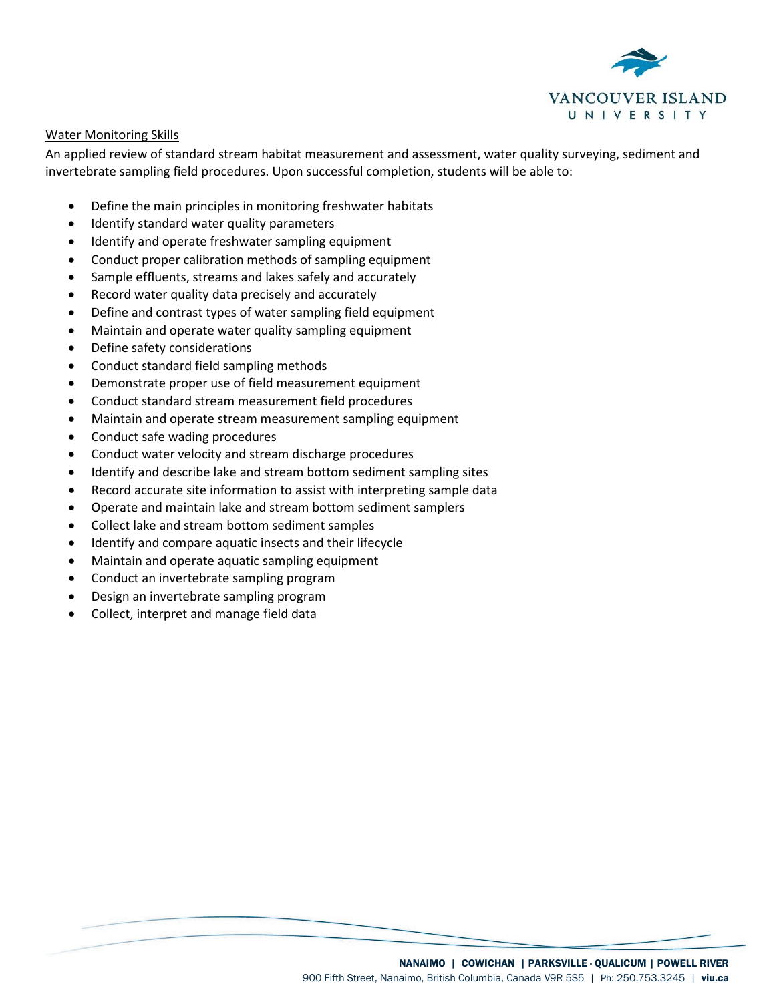

#### Water Monitoring Skills

An applied review of standard stream habitat measurement and assessment, water quality surveying, sediment and invertebrate sampling field procedures. Upon successful completion, students will be able to:

- Define the main principles in monitoring freshwater habitats
- Identify standard water quality parameters
- Identify and operate freshwater sampling equipment
- Conduct proper calibration methods of sampling equipment
- Sample effluents, streams and lakes safely and accurately
- Record water quality data precisely and accurately
- Define and contrast types of water sampling field equipment
- Maintain and operate water quality sampling equipment
- Define safety considerations
- Conduct standard field sampling methods
- Demonstrate proper use of field measurement equipment
- Conduct standard stream measurement field procedures
- Maintain and operate stream measurement sampling equipment
- Conduct safe wading procedures
- Conduct water velocity and stream discharge procedures
- Identify and describe lake and stream bottom sediment sampling sites
- Record accurate site information to assist with interpreting sample data
- Operate and maintain lake and stream bottom sediment samplers
- Collect lake and stream bottom sediment samples
- Identify and compare aquatic insects and their lifecycle
- Maintain and operate aquatic sampling equipment
- Conduct an invertebrate sampling program
- Design an invertebrate sampling program
- Collect, interpret and manage field data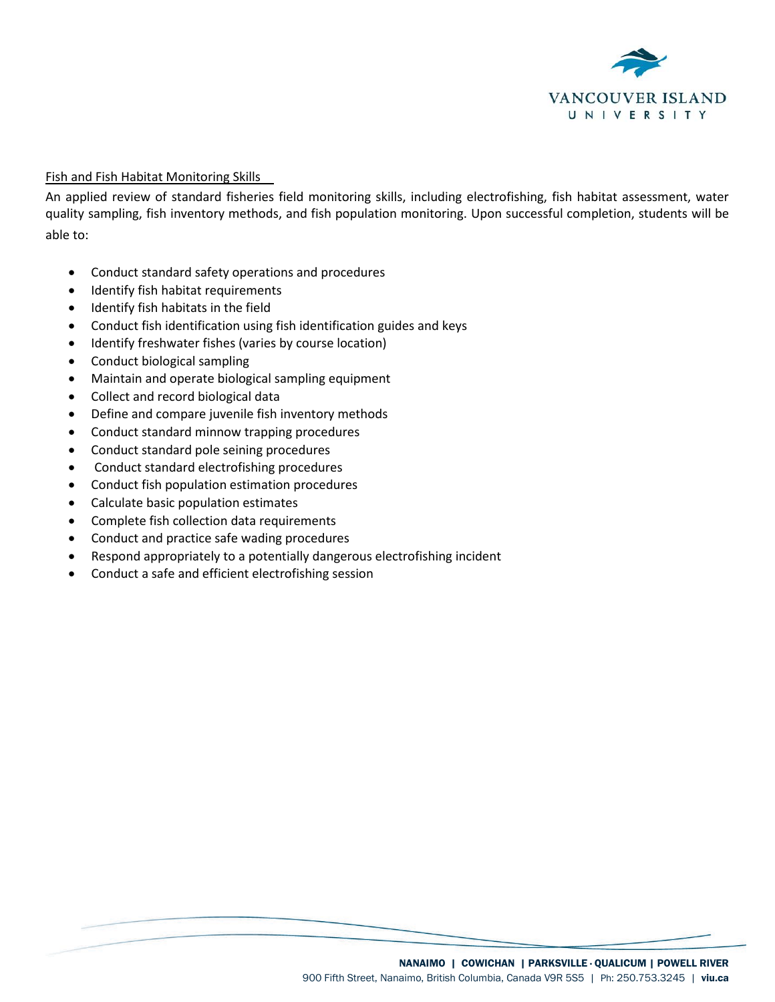

#### Fish and Fish Habitat Monitoring Skills

An applied review of standard fisheries field monitoring skills, including electrofishing, fish habitat assessment, water quality sampling, fish inventory methods, and fish population monitoring. Upon successful completion, students will be able to:

- Conduct standard safety operations and procedures
- Identify fish habitat requirements
- Identify fish habitats in the field
- Conduct fish identification using fish identification guides and keys
- Identify freshwater fishes (varies by course location)
- Conduct biological sampling
- Maintain and operate biological sampling equipment
- Collect and record biological data
- Define and compare juvenile fish inventory methods
- Conduct standard minnow trapping procedures
- Conduct standard pole seining procedures
- Conduct standard electrofishing procedures
- Conduct fish population estimation procedures
- Calculate basic population estimates
- Complete fish collection data requirements
- Conduct and practice safe wading procedures
- Respond appropriately to a potentially dangerous electrofishing incident
- Conduct a safe and efficient electrofishing session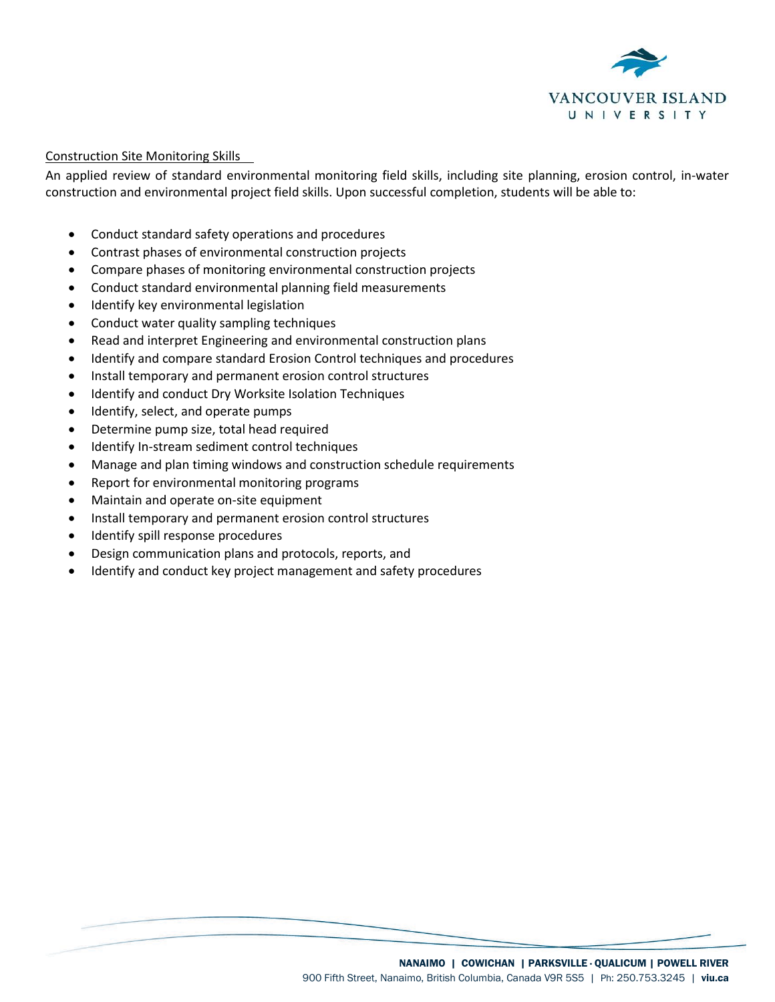

#### Construction Site Monitoring Skills

An applied review of standard environmental monitoring field skills, including site planning, erosion control, in-water construction and environmental project field skills. Upon successful completion, students will be able to:

- Conduct standard safety operations and procedures
- Contrast phases of environmental construction projects
- Compare phases of monitoring environmental construction projects
- Conduct standard environmental planning field measurements
- Identify key environmental legislation
- Conduct water quality sampling techniques
- Read and interpret Engineering and environmental construction plans
- Identify and compare standard Erosion Control techniques and procedures
- Install temporary and permanent erosion control structures
- Identify and conduct Dry Worksite Isolation Techniques
- Identify, select, and operate pumps
- Determine pump size, total head required
- Identify In-stream sediment control techniques
- Manage and plan timing windows and construction schedule requirements
- Report for environmental monitoring programs
- Maintain and operate on-site equipment
- Install temporary and permanent erosion control structures
- Identify spill response procedures
- Design communication plans and protocols, reports, and
- Identify and conduct key project management and safety procedures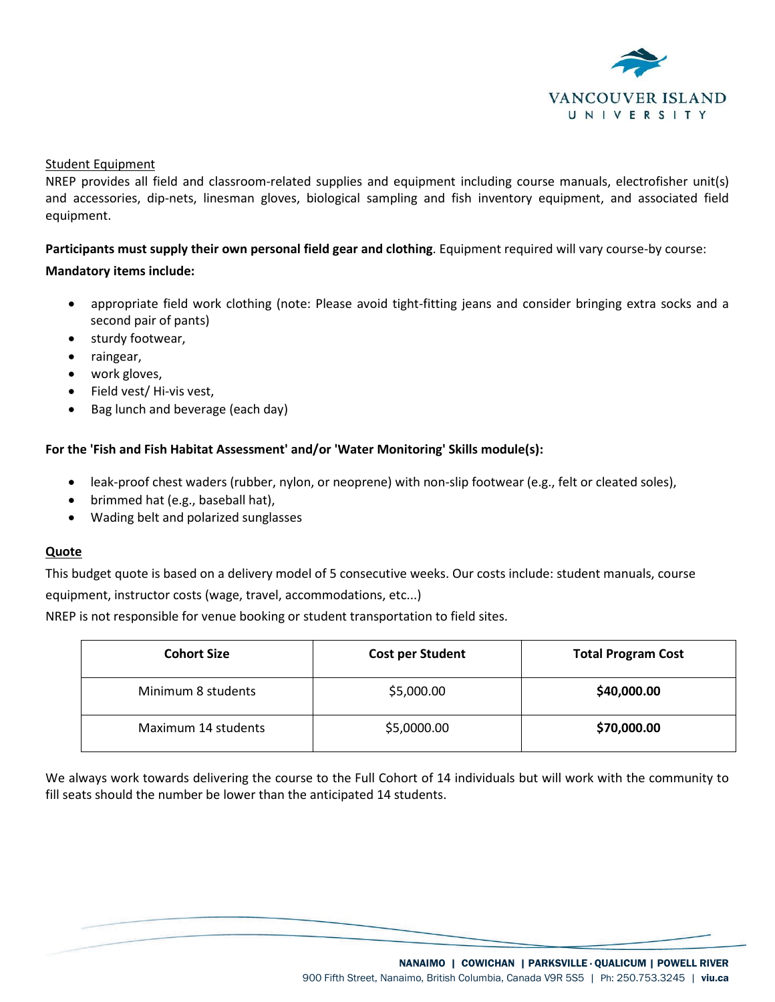

#### Student Equipment

NREP provides all field and classroom-related supplies and equipment including course manuals, electrofisher unit(s) and accessories, dip-nets, linesman gloves, biological sampling and fish inventory equipment, and associated field equipment.

**Participants must supply their own personal field gear and clothing**. Equipment required will vary course-by course:

#### **Mandatory items include:**

- appropriate field work clothing (note: Please avoid tight-fitting jeans and consider bringing extra socks and a second pair of pants)
- sturdy footwear,
- raingear,
- work gloves,
- Field vest/ Hi-vis vest,
- Bag lunch and beverage (each day)

#### **For the 'Fish and Fish Habitat Assessment' and/or 'Water Monitoring' Skills module(s):**

- leak-proof chest waders (rubber, nylon, or neoprene) with non-slip footwear (e.g., felt or cleated soles),
- brimmed hat (e.g., baseball hat),
- Wading belt and polarized sunglasses

#### **Quote**

This budget quote is based on a delivery model of 5 consecutive weeks. Our costs include: student manuals, course equipment, instructor costs (wage, travel, accommodations, etc...)

NREP is not responsible for venue booking or student transportation to field sites.

| <b>Cohort Size</b>  | <b>Cost per Student</b> | <b>Total Program Cost</b> |
|---------------------|-------------------------|---------------------------|
| Minimum 8 students  | \$5,000.00              | \$40,000.00               |
| Maximum 14 students | \$5,0000.00             | \$70,000.00               |

We always work towards delivering the course to the Full Cohort of 14 individuals but will work with the community to fill seats should the number be lower than the anticipated 14 students.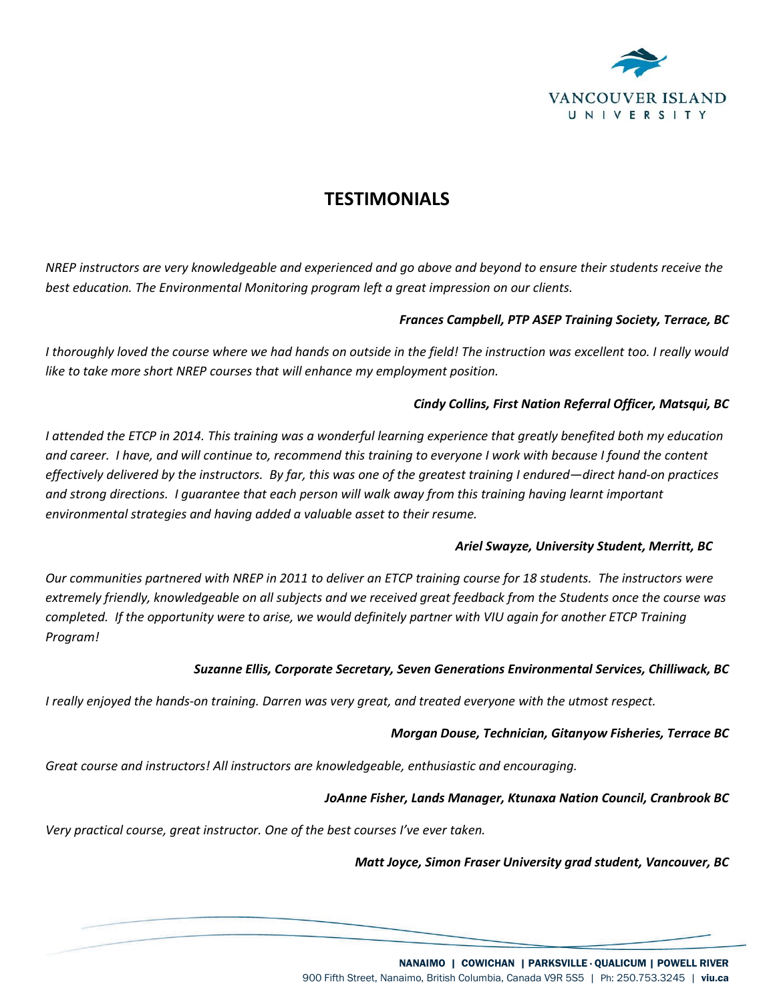

# **TESTIMONIALS**

*NREP instructors are very knowledgeable and experienced and go above and beyond to ensure their students receive the best education. The Environmental Monitoring program left a great impression on our clients.*

### *Frances Campbell, PTP ASEP Training Society, Terrace, BC*

*I thoroughly loved the course where we had hands on outside in the field! The instruction was excellent too. I really would like to take more short NREP courses that will enhance my employment position.* 

#### *Cindy Collins, First Nation Referral Officer, Matsqui, BC*

*I attended the ETCP in 2014. This training was a wonderful learning experience that greatly benefited both my education and career. I have, and will continue to, recommend this training to everyone I work with because I found the content effectively delivered by the instructors. By far, this was one of the greatest training I endured—direct hand-on practices and strong directions. I guarantee that each person will walk away from this training having learnt important environmental strategies and having added a valuable asset to their resume.*

#### *Ariel Swayze, University Student, Merritt, BC*

*Our communities partnered with NREP in 2011 to deliver an ETCP training course for 18 students. The instructors were extremely friendly, knowledgeable on all subjects and we received great feedback from the Students once the course was completed. If the opportunity were to arise, we would definitely partner with VIU again for another ETCP Training Program!* 

#### *Suzanne Ellis, Corporate Secretary, Seven Generations Environmental Services, Chilliwack, BC*

*I really enjoyed the hands-on training. Darren was very great, and treated everyone with the utmost respect.* 

#### *Morgan Douse, Technician, Gitanyow Fisheries, Terrace BC*

*Great course and instructors! All instructors are knowledgeable, enthusiastic and encouraging.* 

#### *JoAnne Fisher, Lands Manager, Ktunaxa Nation Council, Cranbrook BC*

*Very practical course, great instructor. One of the best courses I've ever taken.* 

*Matt Joyce, Simon Fraser University grad student, Vancouver, BC*